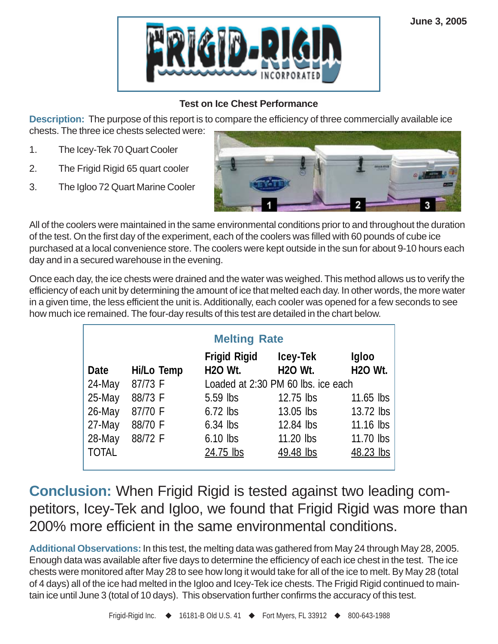

## **Test on Ice Chest Performance**

**Description:** The purpose of this report is to compare the efficiency of three commercially available ice chests. The three ice chests selected were:

- 1. The Icey-Tek 70 Quart Cooler
- 2. The Frigid Rigid 65 quart cooler
- 3. The Igloo 72 Quart Marine Cooler



All of the coolers were maintained in the same environmental conditions prior to and throughout the duration of the test. On the first day of the experiment, each of the coolers was filled with 60 pounds of cube ice purchased at a local convenience store. The coolers were kept outside in the sun for about 9-10 hours each day and in a secured warehouse in the evening.

Once each day, the ice chests were drained and the water was weighed. This method allows us to verify the efficiency of each unit by determining the amount of ice that melted each day. In other words, the more water in a given time, the less efficient the unit is. Additionally, each cooler was opened for a few seconds to see how much ice remained. The four-day results of this test are detailed in the chart below.

| <b>Melting Rate</b> |            |                                       |                            |                         |  |  |  |
|---------------------|------------|---------------------------------------|----------------------------|-------------------------|--|--|--|
| Date                | Hi/Lo Temp | <b>Frigid Rigid</b><br><b>H2O Wt.</b> | Icey-Tek<br><b>H2O Wt.</b> | Igloo<br><b>H2O Wt.</b> |  |  |  |
| 24-May              | 87/73 F    | Loaded at 2:30 PM 60 lbs. ice each    |                            |                         |  |  |  |
| 25-May              | 88/73 F    | $5.59$ lbs                            | 12.75 lbs                  | $11.65$ lbs             |  |  |  |
| 26-May              | 87/70 F    | $6.72$ lbs                            | 13.05 lbs                  | 13.72 lbs               |  |  |  |
| 27-May              | 88/70 F    | $6.34$ lbs                            | 12.84 lbs                  | 11.16 lbs               |  |  |  |
| 28-May              | 88/72 F    | $6.10$ lbs                            | 11.20 lbs                  | 11.70 lbs               |  |  |  |
| <b>TOTAL</b>        |            | 24.75 lbs                             | 49.48 lbs                  | 48.23 lbs               |  |  |  |

**Conclusion:** When Frigid Rigid is tested against two leading competitors, Icey-Tek and Igloo, we found that Frigid Rigid was more than 200% more efficient in the same environmental conditions.

**Additional Observations:** In this test, the melting data was gathered from May 24 through May 28, 2005. Enough data was available after five days to determine the efficiency of each ice chest in the test. The ice chests were monitored after May 28 to see how long it would take for all of the ice to melt. By May 28 (total of 4 days) all of the ice had melted in the Igloo and Icey-Tek ice chests. The Frigid Rigid continued to maintain ice until June 3 (total of 10 days). This observation further confirms the accuracy of this test.